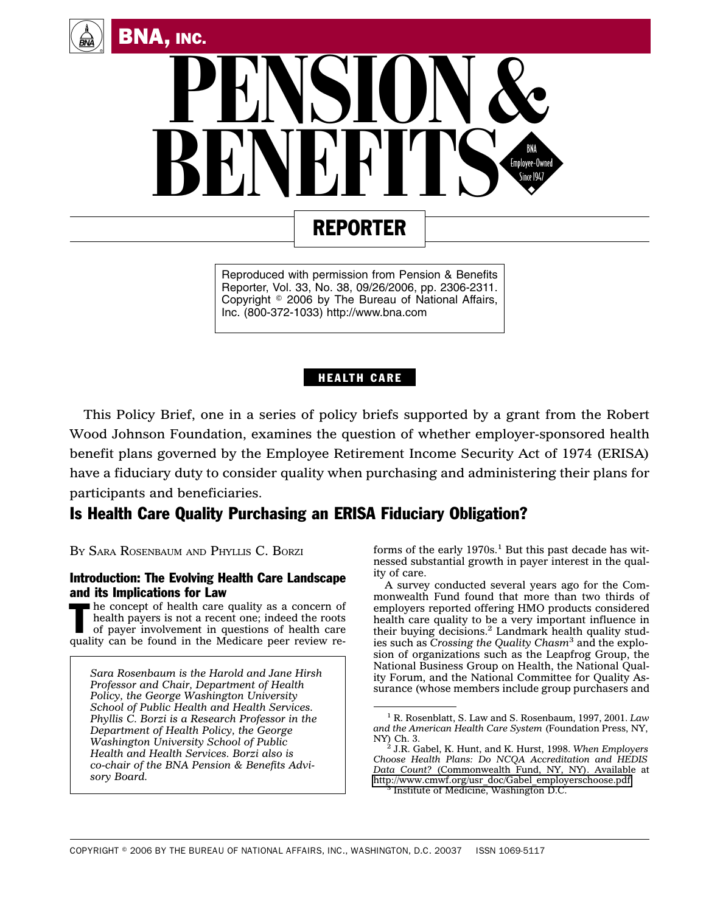



# REPORTER

Reproduced with permission from Pension & Benefits Reporter, Vol. 33, No. 38, 09/26/2006, pp. 2306-2311. Copyright  $\circ$  2006 by The Bureau of National Affairs, Inc. (800-372-1033) http://www.bna.com

### HEALTH CARE

This Policy Brief, one in a series of policy briefs supported by a grant from the Robert Wood Johnson Foundation, examines the question of whether employer-sponsored health benefit plans governed by the Employee Retirement Income Security Act of 1974 (ERISA) have a fiduciary duty to consider quality when purchasing and administering their plans for participants and beneficiaries.

## Is Health Care Quality Purchasing an ERISA Fiduciary Obligation?

BY SARA ROSENBAUM AND PHYLLIS C. BORZI

#### Introduction: The Evolving Health Care Landscape and its Implications for Law

The concept of health care quality as a concern of health payers is not a recent one; indeed the roots of payer involvement in questions of health care health payers is not a recent one; indeed the roots of payer involvement in questions of health care quality can be found in the Medicare peer review re-

*Sara Rosenbaum is the Harold and Jane Hirsh Professor and Chair, Department of Health Policy, the George Washington University School of Public Health and Health Services. Phyllis C. Borzi is a Research Professor in the Department of Health Policy, the George Washington University School of Public Health and Health Services. Borzi also is co-chair of the BNA Pension & Benefits Advisory Board.*

forms of the early  $1970s<sup>1</sup>$  But this past decade has witnessed substantial growth in payer interest in the quality of care.

A survey conducted several years ago for the Commonwealth Fund found that more than two thirds of employers reported offering HMO products considered health care quality to be a very important influence in their buying decisions.<sup>2</sup> Landmark health quality studies such as *Crossing the Quality Chasm*<sup>3</sup> and the explosion of organizations such as the Leapfrog Group, the National Business Group on Health, the National Quality Forum, and the National Committee for Quality Assurance (whose members include group purchasers and

<sup>1</sup> R. Rosenblatt, S. Law and S. Rosenbaum, 1997, 2001. *Law and the American Health Care System (Foundation Press, NY, NY) Ch. 3.*<br><sup>2</sup> *LP Cobol K Hunt and K Hurst 1998 When Employers* 

NY) Ch. 3. <sup>2</sup> J.R. Gabel, K. Hunt, and K. Hurst, 1998. *When Employers Choose Health Plans: Do NCQA Accreditation and HEDIS Data Count?* (Commonwealth Fund, NY, NY). Available at [http://www.cmwf.org/usr\\_doc/Gabel\\_employerschoose.pdf.](http://www.cmwf.org/usr_doc/Gabel_employerschoose.pdf) <sup>3</sup> Institute of Medicine, Washington D.C.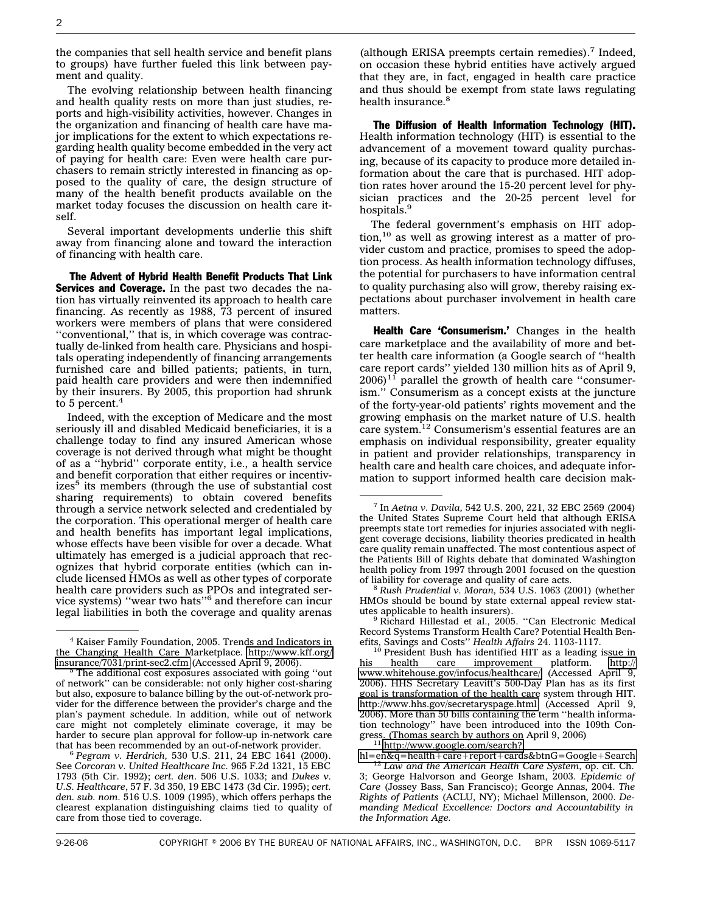the companies that sell health service and benefit plans to groups) have further fueled this link between payment and quality.

The evolving relationship between health financing and health quality rests on more than just studies, reports and high-visibility activities, however. Changes in the organization and financing of health care have major implications for the extent to which expectations regarding health quality become embedded in the very act of paying for health care: Even were health care purchasers to remain strictly interested in financing as opposed to the quality of care, the design structure of many of the health benefit products available on the market today focuses the discussion on health care itself.

Several important developments underlie this shift away from financing alone and toward the interaction of financing with health care.

The Advent of Hybrid Health Benefit Products That Link **Services and Coverage.** In the past two decades the nation has virtually reinvented its approach to health care financing. As recently as 1988, 73 percent of insured workers were members of plans that were considered "conventional," that is, in which coverage was contractually de-linked from health care. Physicians and hospitals operating independently of financing arrangements furnished care and billed patients; patients, in turn, paid health care providers and were then indemnified by their insurers. By 2005, this proportion had shrunk to 5 percent.<sup>4</sup>

Indeed, with the exception of Medicare and the most seriously ill and disabled Medicaid beneficiaries, it is a challenge today to find any insured American whose coverage is not derived through what might be thought of as a ''hybrid'' corporate entity, i.e., a health service and benefit corporation that either requires or incentiv $i$ zes<sup>5</sup> its members (through the use of substantial cost sharing requirements) to obtain covered benefits through a service network selected and credentialed by the corporation. This operational merger of health care and health benefits has important legal implications, whose effects have been visible for over a decade. What ultimately has emerged is a judicial approach that recognizes that hybrid corporate entities (which can include licensed HMOs as well as other types of corporate health care providers such as PPOs and integrated ser-vice systems) ''wear two hats''6 and therefore can incur legal liabilities in both the coverage and quality arenas

(although ERISA preempts certain remedies). $7$  Indeed, on occasion these hybrid entities have actively argued that they are, in fact, engaged in health care practice and thus should be exempt from state laws regulating health insurance.<sup>8</sup>

The Diffusion of Health Information Technology (HIT). Health information technology (HIT) is essential to the advancement of a movement toward quality purchasing, because of its capacity to produce more detailed information about the care that is purchased. HIT adoption rates hover around the 15-20 percent level for physician practices and the 20-25 percent level for hospitals.<sup>9</sup>

The federal government's emphasis on HIT adoption,10 as well as growing interest as a matter of provider custom and practice, promises to speed the adoption process. As health information technology diffuses, the potential for purchasers to have information central to quality purchasing also will grow, thereby raising expectations about purchaser involvement in health care matters.

Health Care 'Consumerism.' Changes in the health care marketplace and the availability of more and better health care information (a Google search of ''health care report cards'' yielded 130 million hits as of April 9,  $2006$ <sup>11</sup> parallel the growth of health care "consumerism.'' Consumerism as a concept exists at the juncture of the forty-year-old patients' rights movement and the growing emphasis on the market nature of U.S. health care system.12 Consumerism's essential features are an emphasis on individual responsibility, greater equality in patient and provider relationships, transparency in health care and health care choices, and adequate information to support informed health care decision mak-

 $9$  Richard Hillestad et al., 2005. "Can Electronic Medical Record Systems Transform Health Care? Potential Health Ben-<br>efits. Savings and Costs" Health Affairs 24. 1103-1117.

[hl=en&q=health+care+report+cards&btnG=Google+Search](http://www.google.com/search?hl=en&q=health+care+report+cards&btnG=Google+Search) <sup>12</sup> *Law and the American Health Care System,* op. cit. Ch.

<sup>4</sup> Kaiser Family Foundation, 2005. Trends and Indicators in the Changing Health Care Marketplace. [http://www.kff.org/](http://www.kff.org/insurance/7031/print-sec2.cfm)<br>insurance/7031/print-sec2.cfm (Accessed April 9, 2006).

<sup>&</sup>lt;sup>5</sup> The additional cost exposures associated with going "out of network'' can be considerable: not only higher cost-sharing but also, exposure to balance billing by the out-of-network provider for the difference between the provider's charge and the plan's payment schedule. In addition, while out of network care might not completely eliminate coverage, it may be harder to secure plan approval for follow-up in-network care that has been recommended by an out-of-network provider.

<sup>&</sup>lt;sup>6</sup> Pegram v. Herdrich, 530 U.S. 211, 24 EBC 1641 (2000). See *Corcoran v. United Healthcare Inc.* 965 F.2d 1321, 15 EBC 1793 (5th Cir. 1992); *cert. den*. 506 U.S. 1033; and *Dukes v. U.S. Healthcare*, 57 F. 3d 350, 19 EBC 1473 (3d Cir. 1995); *cert. den. sub. nom.* 516 U.S. 1009 (1995), which offers perhaps the clearest explanation distinguishing claims tied to quality of care from those tied to coverage.

<sup>7</sup> In *Aetna v. Davila,* 542 U.S. 200, 221, 32 EBC 2569 (2004) the United States Supreme Court held that although ERISA preempts state tort remedies for injuries associated with negligent coverage decisions, liability theories predicated in health care quality remain unaffected. The most contentious aspect of the Patients Bill of Rights debate that dominated Washington health policy from 1997 through 2001 focused on the question of liability for coverage and quality of care acts.

Rush Prudential v. Moran, 534 U.S. 1063 (2001) (whether HMOs should be bound by state external appeal review stat-

<sup>&</sup>lt;sup>16</sup> President Bush has identified HIT as a leading issue in health care improvement platform. http:// his health care improvement platform. [http://](http://www.whitehouse.gov/infocus/healthcare/) [www.whitehouse.gov/infocus/healthcare/](http://www.whitehouse.gov/infocus/healthcare/) (Accessed April 9, 2006). HHS Secretary Leavitt's 500-Day Plan has as its first goal is transformation of the health care system through HIT. <http://www.hhs.gov/secretaryspage.html> (Accessed April 9, 2006). More than 50 bills containing the term ''health information technology'' have been introduced into the 109th Congress. (Thomas search by authors on April 9, 2006) <sup>11</sup> [http://www.google.com/search?](http://www.google.com/search?hl=en&q=health+care+report+cards&btnG=Google+Search)

<sup>3;</sup> George Halvorson and George Isham, 2003. *Epidemic of Care* (Jossey Bass, San Francisco); George Annas, 2004. *The Rights of Patients* (ACLU, NY); Michael Millenson, 2000. *Demanding Medical Excellence: Doctors and Accountability in the Information Age.*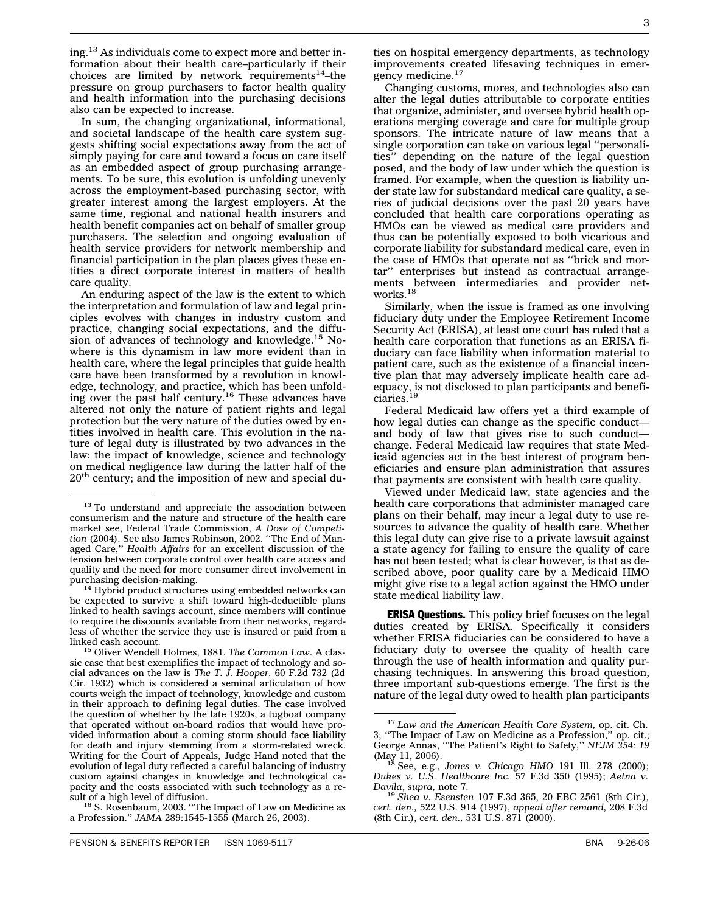ing.13 As individuals come to expect more and better information about their health care–particularly if their choices are limited by network requirements<sup>14</sup>–the pressure on group purchasers to factor health quality and health information into the purchasing decisions also can be expected to increase.

In sum, the changing organizational, informational, and societal landscape of the health care system suggests shifting social expectations away from the act of simply paying for care and toward a focus on care itself as an embedded aspect of group purchasing arrangements. To be sure, this evolution is unfolding unevenly across the employment-based purchasing sector, with greater interest among the largest employers. At the same time, regional and national health insurers and health benefit companies act on behalf of smaller group purchasers. The selection and ongoing evaluation of health service providers for network membership and financial participation in the plan places gives these entities a direct corporate interest in matters of health care quality.

An enduring aspect of the law is the extent to which the interpretation and formulation of law and legal principles evolves with changes in industry custom and practice, changing social expectations, and the diffusion of advances of technology and knowledge.<sup>15</sup> Nowhere is this dynamism in law more evident than in health care, where the legal principles that guide health care have been transformed by a revolution in knowledge, technology, and practice, which has been unfold-<br>ing over the past half century.<sup>16</sup> These advances have altered not only the nature of patient rights and legal protection but the very nature of the duties owed by entities involved in health care. This evolution in the nature of legal duty is illustrated by two advances in the law: the impact of knowledge, science and technology on medical negligence law during the latter half of the  $20<sup>th</sup>$  century; and the imposition of new and special du-

 $s<sup>16</sup>$  S. Rosenbaum, 2003. "The Impact of Law on Medicine as a Profession.'' *JAMA* 289:1545-1555 (March 26, 2003).

Changing customs, mores, and technologies also can alter the legal duties attributable to corporate entities that organize, administer, and oversee hybrid health operations merging coverage and care for multiple group sponsors. The intricate nature of law means that a single corporation can take on various legal ''personalities'' depending on the nature of the legal question posed, and the body of law under which the question is framed. For example, when the question is liability under state law for substandard medical care quality, a series of judicial decisions over the past 20 years have concluded that health care corporations operating as HMOs can be viewed as medical care providers and thus can be potentially exposed to both vicarious and corporate liability for substandard medical care, even in the case of HMOs that operate not as ''brick and mortar'' enterprises but instead as contractual arrangements between intermediaries and provider networks.<sup>18</sup>

Similarly, when the issue is framed as one involving fiduciary duty under the Employee Retirement Income Security Act (ERISA), at least one court has ruled that a health care corporation that functions as an ERISA fiduciary can face liability when information material to patient care, such as the existence of a financial incentive plan that may adversely implicate health care adequacy, is not disclosed to plan participants and beneficiaries.19

Federal Medicaid law offers yet a third example of how legal duties can change as the specific conduct and body of law that gives rise to such conduct change. Federal Medicaid law requires that state Medicaid agencies act in the best interest of program beneficiaries and ensure plan administration that assures that payments are consistent with health care quality.

Viewed under Medicaid law, state agencies and the health care corporations that administer managed care plans on their behalf, may incur a legal duty to use resources to advance the quality of health care. Whether this legal duty can give rise to a private lawsuit against a state agency for failing to ensure the quality of care has not been tested; what is clear however, is that as described above, poor quality care by a Medicaid HMO might give rise to a legal action against the HMO under state medical liability law.

**ERISA Questions.** This policy brief focuses on the legal duties created by ERISA. Specifically it considers whether ERISA fiduciaries can be considered to have a fiduciary duty to oversee the quality of health care through the use of health information and quality purchasing techniques. In answering this broad question, three important sub-questions emerge. The first is the nature of the legal duty owed to health plan participants

<sup>&</sup>lt;sup>13</sup> To understand and appreciate the association between consumerism and the nature and structure of the health care market see, Federal Trade Commission, *A Dose of Competition* (2004). See also James Robinson, 2002. ''The End of Managed Care,'' *Health Affairs* for an excellent discussion of the tension between corporate control over health care access and quality and the need for more consumer direct involvement in purchasing decision-making.

 $14$  Hybrid product structures using embedded networks can be expected to survive a shift toward high-deductible plans linked to health savings account, since members will continue to require the discounts available from their networks, regardless of whether the service they use is insured or paid from a

<sup>&</sup>lt;sup>15</sup> Oliver Wendell Holmes, 1881. The Common Law. A classic case that best exemplifies the impact of technology and social advances on the law is *The T. J. Hooper,* 60 F.2d 732 (2d Cir. 1932) which is considered a seminal articulation of how courts weigh the impact of technology, knowledge and custom in their approach to defining legal duties. The case involved the question of whether by the late 1920s, a tugboat company that operated without on-board radios that would have provided information about a coming storm should face liability for death and injury stemming from a storm-related wreck. Writing for the Court of Appeals, Judge Hand noted that the evolution of legal duty reflected a careful balancing of industry custom against changes in knowledge and technological capacity and the costs associated with such technology as a result of a high level of diffusion.

<sup>17</sup> *Law and the American Health Care System,* op. cit. Ch. 3; ''The Impact of Law on Medicine as a Profession,'' op. cit.; George Annas, ''The Patient's Right to Safety,'' *NEJM 354: 19*

<sup>(</sup>May 11, 2006). <sup>18</sup> See, e.g., *Jones v. Chicago HMO* 191 Ill. 278 (2000); *Dukes v. U.S. Healthcare Inc.* 57 F.3d 350 (1995); *Aetna v.*

*Davila*, *supra,* note 7. <sup>19</sup> *Shea v. Esensten* 107 F.3d 365, 20 EBC 2561 (8th Cir.), *cert. den.,* 522 U.S. 914 (1997), *appeal after remand,* 208 F.3d (8th Cir.), *cert. den.,* 531 U.S. 871 (2000).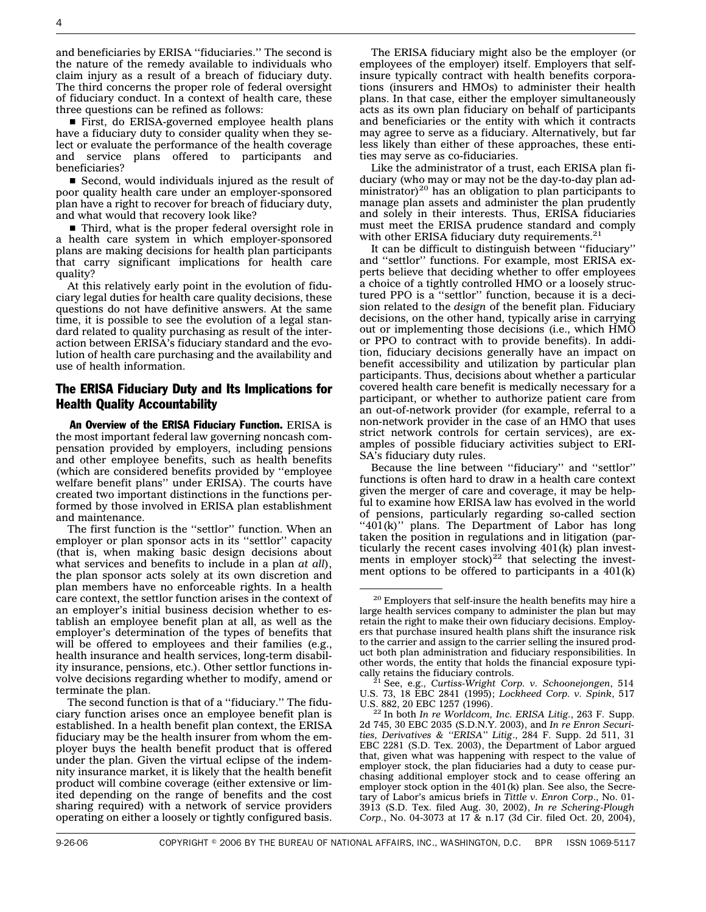and beneficiaries by ERISA ''fiduciaries.'' The second is the nature of the remedy available to individuals who claim injury as a result of a breach of fiduciary duty. The third concerns the proper role of federal oversight of fiduciary conduct. In a context of health care, these three questions can be refined as follows:

s First, do ERISA-governed employee health plans have a fiduciary duty to consider quality when they select or evaluate the performance of the health coverage and service plans offered to participants and beneficiaries?

Second, would individuals injured as the result of poor quality health care under an employer-sponsored plan have a right to recover for breach of fiduciary duty, and what would that recovery look like?

Third, what is the proper federal oversight role in a health care system in which employer-sponsored plans are making decisions for health plan participants that carry significant implications for health care quality?

At this relatively early point in the evolution of fiduciary legal duties for health care quality decisions, these questions do not have definitive answers. At the same time, it is possible to see the evolution of a legal standard related to quality purchasing as result of the interaction between ERISA's fiduciary standard and the evolution of health care purchasing and the availability and use of health information.

#### The ERISA Fiduciary Duty and Its Implications for Health Quality Accountability

An Overview of the ERISA Fiduciary Function. ERISA is the most important federal law governing noncash compensation provided by employers, including pensions and other employee benefits, such as health benefits (which are considered benefits provided by ''employee welfare benefit plans'' under ERISA). The courts have created two important distinctions in the functions performed by those involved in ERISA plan establishment and maintenance.

The first function is the ''settlor'' function. When an employer or plan sponsor acts in its ''settlor'' capacity (that is, when making basic design decisions about what services and benefits to include in a plan *at all*), the plan sponsor acts solely at its own discretion and plan members have no enforceable rights. In a health care context, the settlor function arises in the context of an employer's initial business decision whether to establish an employee benefit plan at all, as well as the employer's determination of the types of benefits that will be offered to employees and their families (e.g., health insurance and health services, long-term disability insurance, pensions, etc.). Other settlor functions involve decisions regarding whether to modify, amend or terminate the plan.

The second function is that of a ''fiduciary.'' The fiduciary function arises once an employee benefit plan is established. In a health benefit plan context, the ERISA fiduciary may be the health insurer from whom the employer buys the health benefit product that is offered under the plan. Given the virtual eclipse of the indemnity insurance market, it is likely that the health benefit product will combine coverage (either extensive or limited depending on the range of benefits and the cost sharing required) with a network of service providers operating on either a loosely or tightly configured basis.

The ERISA fiduciary might also be the employer (or employees of the employer) itself. Employers that selfinsure typically contract with health benefits corporations (insurers and HMOs) to administer their health plans. In that case, either the employer simultaneously acts as its own plan fiduciary on behalf of participants and beneficiaries or the entity with which it contracts may agree to serve as a fiduciary. Alternatively, but far less likely than either of these approaches, these entities may serve as co-fiduciaries.

Like the administrator of a trust, each ERISA plan fiduciary (who may or may not be the day-to-day plan administrator)<sup>20</sup> has an obligation to plan participants to manage plan assets and administer the plan prudently and solely in their interests. Thus, ERISA fiduciaries must meet the ERISA prudence standard and comply with other ERISA fiduciary duty requirements. $21$ 

It can be difficult to distinguish between ''fiduciary'' and ''settlor'' functions. For example, most ERISA experts believe that deciding whether to offer employees a choice of a tightly controlled HMO or a loosely structured PPO is a ''settlor'' function, because it is a decision related to the *design* of the benefit plan. Fiduciary decisions, on the other hand, typically arise in carrying out or implementing those decisions (i.e., which HMO or PPO to contract with to provide benefits). In addition, fiduciary decisions generally have an impact on benefit accessibility and utilization by particular plan participants. Thus, decisions about whether a particular covered health care benefit is medically necessary for a participant, or whether to authorize patient care from an out-of-network provider (for example, referral to a non-network provider in the case of an HMO that uses strict network controls for certain services), are examples of possible fiduciary activities subject to ERI-SA's fiduciary duty rules.

Because the line between ''fiduciary'' and ''settlor'' functions is often hard to draw in a health care context given the merger of care and coverage, it may be helpful to examine how ERISA law has evolved in the world of pensions, particularly regarding so-called section " $401(k)$ " plans. The Department of Labor has long taken the position in regulations and in litigation (particularly the recent cases involving 401(k) plan investments in employer stock) $^{22}$  that selecting the investment options to be offered to participants in a 401(k)

 $^{20}$  Employers that self-insure the health benefits may hire a large health services company to administer the plan but may retain the right to make their own fiduciary decisions. Employers that purchase insured health plans shift the insurance risk to the carrier and assign to the carrier selling the insured product both plan administration and fiduciary responsibilities. In other words, the entity that holds the financial exposure typically retains the fiduciary controls. <sup>21</sup> See, e.g., *Curtiss-Wright Corp. v. Schoonejongen*, 514

U.S. 73, 18 EBC 2841 (1995); *Lockheed Corp. v. Spink*, 517

<sup>&</sup>lt;sup>22</sup> In both *In re Worldcom*, *Inc. ERISA Litig.*, 263 F. Supp. 2d 745, 30 EBC 2035 (S.D.N.Y. 2003), and *In re Enron Securities, Derivatives & ''ERISA'' Litig*., 284 F. Supp. 2d 511, 31 EBC 2281 (S.D. Tex. 2003), the Department of Labor argued that, given what was happening with respect to the value of employer stock, the plan fiduciaries had a duty to cease purchasing additional employer stock and to cease offering an employer stock option in the 401(k) plan. See also, the Secretary of Labor's amicus briefs in *Tittle v. Enron Corp*., No. 01- 3913 (S.D. Tex. filed Aug. 30, 2002), *In re Schering-Plough Corp.*, No. 04-3073 at 17 & n.17 (3d Cir. filed Oct. 20, 2004),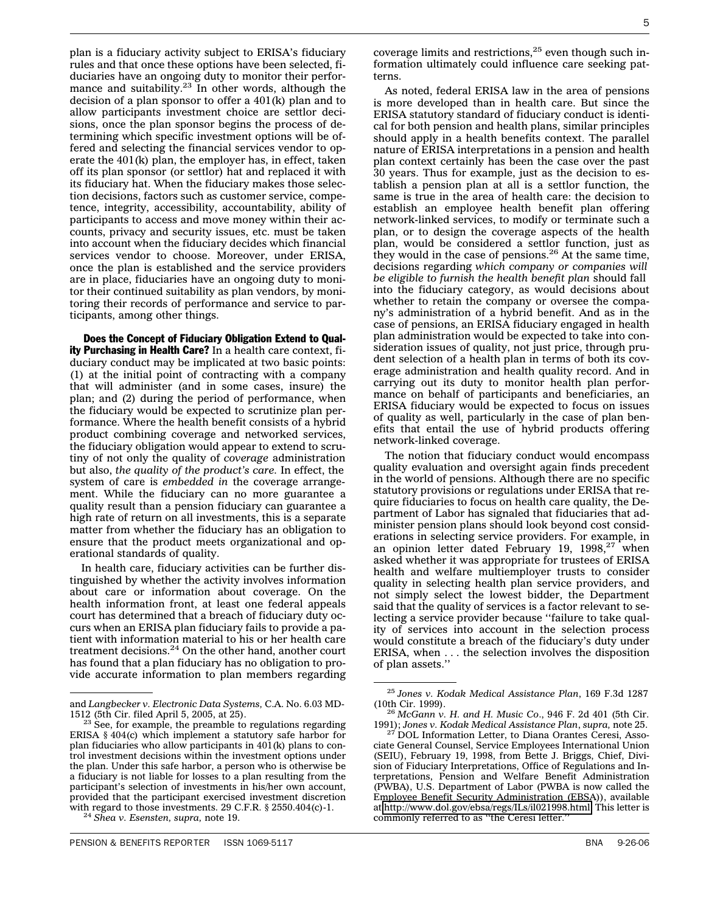plan is a fiduciary activity subject to ERISA's fiduciary rules and that once these options have been selected, fiduciaries have an ongoing duty to monitor their performance and suitability. $23$  In other words, although the decision of a plan sponsor to offer a 401(k) plan and to allow participants investment choice are settlor decisions, once the plan sponsor begins the process of determining which specific investment options will be offered and selecting the financial services vendor to operate the 401(k) plan, the employer has, in effect, taken off its plan sponsor (or settlor) hat and replaced it with its fiduciary hat. When the fiduciary makes those selection decisions, factors such as customer service, competence, integrity, accessibility, accountability, ability of participants to access and move money within their accounts, privacy and security issues, etc. must be taken into account when the fiduciary decides which financial services vendor to choose. Moreover, under ERISA, once the plan is established and the service providers are in place, fiduciaries have an ongoing duty to monitor their continued suitability as plan vendors, by monitoring their records of performance and service to participants, among other things.

Does the Concept of Fiduciary Obligation Extend to Quality Purchasing in Health Care? In a health care context, fiduciary conduct may be implicated at two basic points: (1) at the initial point of contracting with a company that will administer (and in some cases, insure) the plan; and (2) during the period of performance, when the fiduciary would be expected to scrutinize plan performance. Where the health benefit consists of a hybrid product combining coverage and networked services, the fiduciary obligation would appear to extend to scrutiny of not only the quality of *coverage* administration but also, *the quality of the product's care.* In effect, the system of care is *embedded in* the coverage arrangement. While the fiduciary can no more guarantee a quality result than a pension fiduciary can guarantee a high rate of return on all investments, this is a separate matter from whether the fiduciary has an obligation to ensure that the product meets organizational and operational standards of quality.

In health care, fiduciary activities can be further distinguished by whether the activity involves information about care or information about coverage. On the health information front, at least one federal appeals court has determined that a breach of fiduciary duty occurs when an ERISA plan fiduciary fails to provide a patient with information material to his or her health care treatment decisions.<sup>24</sup> On the other hand, another court has found that a plan fiduciary has no obligation to provide accurate information to plan members regarding

coverage limits and restrictions,<sup>25</sup> even though such information ultimately could influence care seeking patterns.

As noted, federal ERISA law in the area of pensions is more developed than in health care. But since the ERISA statutory standard of fiduciary conduct is identical for both pension and health plans, similar principles should apply in a health benefits context. The parallel nature of ERISA interpretations in a pension and health plan context certainly has been the case over the past 30 years. Thus for example, just as the decision to establish a pension plan at all is a settlor function, the same is true in the area of health care: the decision to establish an employee health benefit plan offering network-linked services, to modify or terminate such a plan, or to design the coverage aspects of the health plan, would be considered a settlor function, just as they would in the case of pensions.<sup>26</sup> At the same time, decisions regarding *which company or companies will be eligible to furnish the health benefit plan* should fall into the fiduciary category, as would decisions about whether to retain the company or oversee the company's administration of a hybrid benefit. And as in the case of pensions, an ERISA fiduciary engaged in health plan administration would be expected to take into consideration issues of quality, not just price, through prudent selection of a health plan in terms of both its coverage administration and health quality record. And in carrying out its duty to monitor health plan performance on behalf of participants and beneficiaries, an ERISA fiduciary would be expected to focus on issues of quality as well, particularly in the case of plan benefits that entail the use of hybrid products offering network-linked coverage.

The notion that fiduciary conduct would encompass quality evaluation and oversight again finds precedent in the world of pensions. Although there are no specific statutory provisions or regulations under ERISA that require fiduciaries to focus on health care quality, the Department of Labor has signaled that fiduciaries that administer pension plans should look beyond cost considerations in selecting service providers. For example, in an opinion letter dated February 19,  $1998,^{27}$  when asked whether it was appropriate for trustees of ERISA health and welfare multiemployer trusts to consider quality in selecting health plan service providers, and not simply select the lowest bidder, the Department said that the quality of services is a factor relevant to selecting a service provider because ''failure to take quality of services into account in the selection process would constitute a breach of the fiduciary's duty under ERISA, when . . . the selection involves the disposition of plan assets.''

and *Langbecker v. Electronic Data Systems,* C.A. No. 6.03 MD-

 $^{23}$  See, for example, the preamble to regulations regarding ERISA § 404(c) which implement a statutory safe harbor for plan fiduciaries who allow participants in  $401(k)$  plans to control investment decisions within the investment options under the plan. Under this safe harbor, a person who is otherwise be a fiduciary is not liable for losses to a plan resulting from the participant's selection of investments in his/her own account, provided that the participant exercised investment discretion with regard to those investments. 29 C.F.R. § 2550.404(c)-1. <sup>24</sup> *Shea v. Esensten, supra,* note 19.

<sup>25</sup> *Jones v. Kodak Medical Assistance Plan*, 169 F.3d 1287 (10th Cir. 1999). <sup>26</sup> *McGann v. H. and H. Music Co*., 946 F. 2d 401 (5th Cir.

<sup>1991);</sup> *Jones v. Kodak Medical Assistance Plan*, *supra,* note 25. <sup>27</sup> DOL Information Letter, to Diana Orantes Ceresi, Asso-

ciate General Counsel, Service Employees International Union (SEIU), February 19, 1998, from Bette J. Briggs, Chief, Division of Fiduciary Interpretations, Office of Regulations and Interpretations, Pension and Welfare Benefit Administration (PWBA), U.S. Department of Labor (PWBA is now called the Employee Benefit Security Administration (EBSA)), available at [http://www.dol.gov/ebsa/regs/ILs/il021998.html.](http://www.dol.gov/ebsa/regs/ILs/il021998.html) This letter is commonly referred to as ''the Ceresi letter.''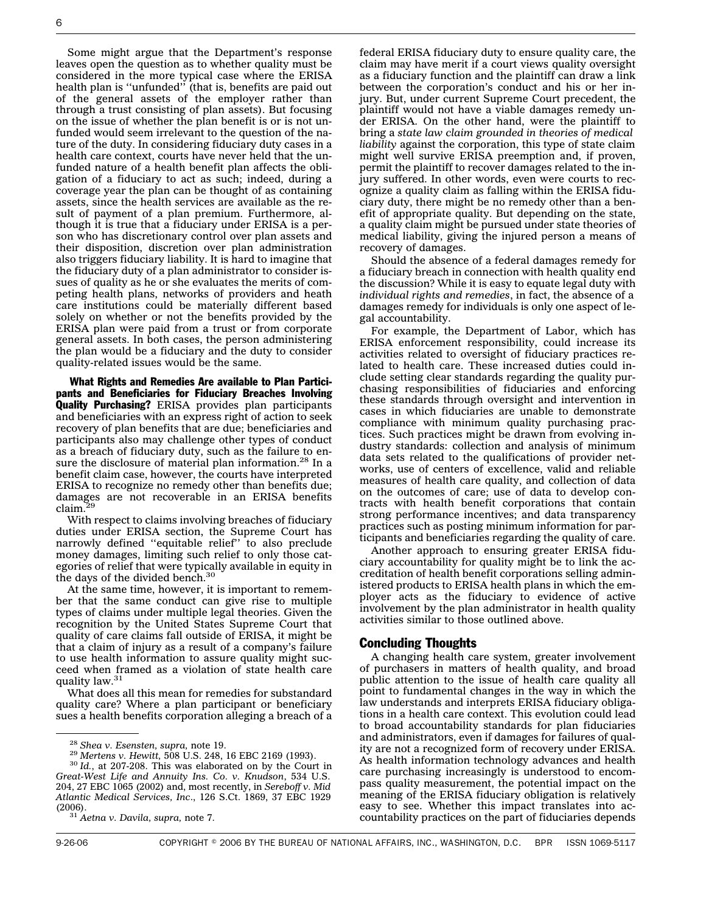Some might argue that the Department's response leaves open the question as to whether quality must be considered in the more typical case where the ERISA health plan is "unfunded" (that is, benefits are paid out of the general assets of the employer rather than through a trust consisting of plan assets). But focusing on the issue of whether the plan benefit is or is not unfunded would seem irrelevant to the question of the nature of the duty. In considering fiduciary duty cases in a health care context, courts have never held that the unfunded nature of a health benefit plan affects the obligation of a fiduciary to act as such; indeed, during a coverage year the plan can be thought of as containing assets, since the health services are available as the result of payment of a plan premium. Furthermore, although it is true that a fiduciary under ERISA is a person who has discretionary control over plan assets and their disposition, discretion over plan administration also triggers fiduciary liability. It is hard to imagine that the fiduciary duty of a plan administrator to consider issues of quality as he or she evaluates the merits of competing health plans, networks of providers and heath care institutions could be materially different based solely on whether or not the benefits provided by the ERISA plan were paid from a trust or from corporate general assets. In both cases, the person administering the plan would be a fiduciary and the duty to consider quality-related issues would be the same.

What Rights and Remedies Are available to Plan Participants and Beneficiaries for Fiduciary Breaches Involving Quality Purchasing? ERISA provides plan participants and beneficiaries with an express right of action to seek recovery of plan benefits that are due; beneficiaries and participants also may challenge other types of conduct as a breach of fiduciary duty, such as the failure to ensure the disclosure of material plan information.<sup>28</sup> In a benefit claim case, however, the courts have interpreted ERISA to recognize no remedy other than benefits due; damages are not recoverable in an ERISA benefits claim.<sup>29</sup>

With respect to claims involving breaches of fiduciary duties under ERISA section, the Supreme Court has narrowly defined ''equitable relief'' to also preclude money damages, limiting such relief to only those categories of relief that were typically available in equity in the days of the divided bench. $30$ 

At the same time, however, it is important to remember that the same conduct can give rise to multiple types of claims under multiple legal theories. Given the recognition by the United States Supreme Court that quality of care claims fall outside of ERISA, it might be that a claim of injury as a result of a company's failure to use health information to assure quality might succeed when framed as a violation of state health care quality law.<sup>31</sup>

What does all this mean for remedies for substandard quality care? Where a plan participant or beneficiary sues a health benefits corporation alleging a breach of a

(2006). <sup>31</sup> *Aetna v. Davila, supra,* note 7.

federal ERISA fiduciary duty to ensure quality care, the claim may have merit if a court views quality oversight as a fiduciary function and the plaintiff can draw a link between the corporation's conduct and his or her injury. But, under current Supreme Court precedent, the plaintiff would not have a viable damages remedy under ERISA. On the other hand, were the plaintiff to bring a *state law claim grounded in theories of medical liability* against the corporation, this type of state claim might well survive ERISA preemption and, if proven, permit the plaintiff to recover damages related to the injury suffered. In other words, even were courts to recognize a quality claim as falling within the ERISA fiduciary duty, there might be no remedy other than a benefit of appropriate quality. But depending on the state, a quality claim might be pursued under state theories of medical liability, giving the injured person a means of recovery of damages.

Should the absence of a federal damages remedy for a fiduciary breach in connection with health quality end the discussion? While it is easy to equate legal duty with *individual rights and remedies*, in fact, the absence of a damages remedy for individuals is only one aspect of legal accountability.

For example, the Department of Labor, which has ERISA enforcement responsibility, could increase its activities related to oversight of fiduciary practices related to health care. These increased duties could include setting clear standards regarding the quality purchasing responsibilities of fiduciaries and enforcing these standards through oversight and intervention in cases in which fiduciaries are unable to demonstrate compliance with minimum quality purchasing practices. Such practices might be drawn from evolving industry standards: collection and analysis of minimum data sets related to the qualifications of provider networks, use of centers of excellence, valid and reliable measures of health care quality, and collection of data on the outcomes of care; use of data to develop contracts with health benefit corporations that contain strong performance incentives; and data transparency practices such as posting minimum information for participants and beneficiaries regarding the quality of care.

Another approach to ensuring greater ERISA fiduciary accountability for quality might be to link the accreditation of health benefit corporations selling administered products to ERISA health plans in which the employer acts as the fiduciary to evidence of active involvement by the plan administrator in health quality activities similar to those outlined above.

#### Concluding Thoughts

A changing health care system, greater involvement of purchasers in matters of health quality, and broad public attention to the issue of health care quality all point to fundamental changes in the way in which the law understands and interprets ERISA fiduciary obligations in a health care context. This evolution could lead to broad accountability standards for plan fiduciaries and administrators, even if damages for failures of quality are not a recognized form of recovery under ERISA. As health information technology advances and health care purchasing increasingly is understood to encompass quality measurement, the potential impact on the meaning of the ERISA fiduciary obligation is relatively easy to see. Whether this impact translates into accountability practices on the part of fiduciaries depends

<sup>28</sup> *Shea v. Esensten, supra,* note 19. <sup>29</sup> *Mertens v. Hewitt,* 508 U.S. 248, 16 EBC 2169 (1993). <sup>30</sup> *Id.*, at 207-208. This was elaborated on by the Court in *Great-West Life and Annuity Ins. Co. v. Knudson*, 534 U.S. 204, 27 EBC 1065 (2002) and, most recently, in *Sereboff v. Mid Atlantic Medical Services, Inc*., 126 S.Ct. 1869, 37 EBC 1929